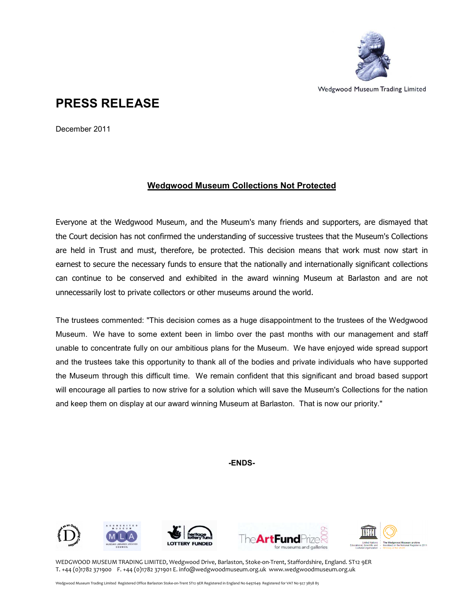

Wedgwood Museum Trading Limited

## PRESS RELEASE

December 2011

## Wedgwood Museum Collections Not Protected

Everyone at the Wedgwood Museum, and the Museum's many friends and supporters, are dismayed that the Court decision has not confirmed the understanding of successive trustees that the Museum's Collections are held in Trust and must, therefore, be protected. This decision means that work must now start in earnest to secure the necessary funds to ensure that the nationally and internationally significant collections can continue to be conserved and exhibited in the award winning Museum at Barlaston and are not unnecessarily lost to private collectors or other museums around the world.

The trustees commented: "This decision comes as a huge disappointment to the trustees of the Wedgwood Museum. We have to some extent been in limbo over the past months with our management and staff unable to concentrate fully on our ambitious plans for the Museum. We have enjoyed wide spread support and the trustees take this opportunity to thank all of the bodies and private individuals who have supported the Museum through this difficult time. We remain confident that this significant and broad based support will encourage all parties to now strive for a solution which will save the Museum's Collections for the nation and keep them on display at our award winning Museum at Barlaston. That is now our priority."

-ENDS-











WEDGWOOD MUSEUM TRADING LIMITED, Wedgwood Drive, Barlaston, Stoke-on-Trent, Staffordshire, England. ST12 9ER T. +44 (0)1782 371900 F. +44 (0)1782 371901 E. info@wedgwoodmuseum.org.uk www.wedgwoodmuseum.org.uk